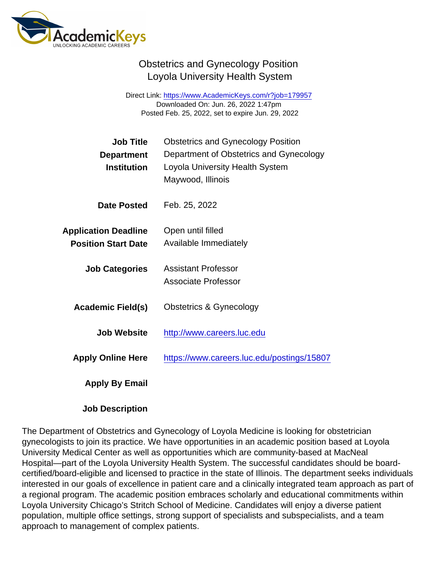## Obstetrics and Gynecology Position Loyola University Health System

Direct Link: <https://www.AcademicKeys.com/r?job=179957> Downloaded On: Jun. 26, 2022 1:47pm Posted Feb. 25, 2022, set to expire Jun. 29, 2022

| <b>Obstetrics and Gynecology Position</b><br>Department of Obstetrics and Gynecology<br>Loyola University Health System<br>Maywood, Illinois |
|----------------------------------------------------------------------------------------------------------------------------------------------|
| Feb. 25, 2022                                                                                                                                |
| Open until filled                                                                                                                            |
| Available Immediately                                                                                                                        |
| <b>Assistant Professor</b><br><b>Associate Professor</b>                                                                                     |
| Obstetrics & Gynecology                                                                                                                      |
| http://www.careers.luc.edu                                                                                                                   |
| https://www.careers.luc.edu/postings/15807                                                                                                   |
|                                                                                                                                              |
|                                                                                                                                              |

Job Description

The Department of Obstetrics and Gynecology of Loyola Medicine is looking for obstetrician gynecologists to join its practice. We have opportunities in an academic position based at Loyola University Medical Center as well as opportunities which are community-based at MacNeal Hospital—part of the Loyola University Health System. The successful candidates should be boardcertified/board-eligible and licensed to practice in the state of Illinois. The department seeks individuals interested in our goals of excellence in patient care and a clinically integrated team approach as part of a regional program. The academic position embraces scholarly and educational commitments within Loyola University Chicago's Stritch School of Medicine. Candidates will enjoy a diverse patient population, multiple office settings, strong support of specialists and subspecialists, and a team approach to management of complex patients.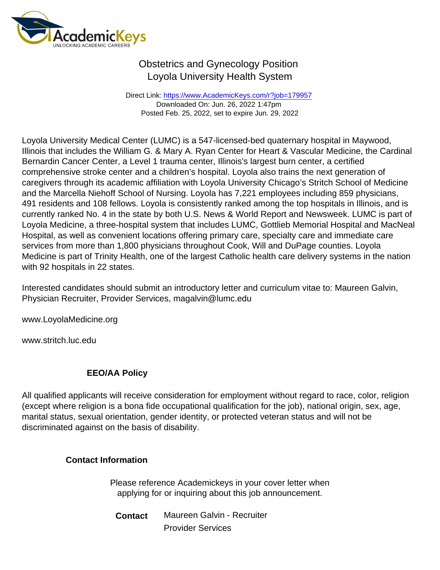## Obstetrics and Gynecology Position Loyola University Health System

Direct Link: <https://www.AcademicKeys.com/r?job=179957> Downloaded On: Jun. 26, 2022 1:47pm Posted Feb. 25, 2022, set to expire Jun. 29, 2022

Loyola University Medical Center (LUMC) is a 547-licensed-bed quaternary hospital in Maywood, Illinois that includes the William G. & Mary A. Ryan Center for Heart & Vascular Medicine, the Cardinal Bernardin Cancer Center, a Level 1 trauma center, Illinois's largest burn center, a certified comprehensive stroke center and a children's hospital. Loyola also trains the next generation of caregivers through its academic affiliation with Loyola University Chicago's Stritch School of Medicine and the Marcella Niehoff School of Nursing. Loyola has 7,221 employees including 859 physicians, 491 residents and 108 fellows. Loyola is consistently ranked among the top hospitals in Illinois, and is currently ranked No. 4 in the state by both U.S. News & World Report and Newsweek. LUMC is part of Loyola Medicine, a three-hospital system that includes LUMC, Gottlieb Memorial Hospital and MacNeal Hospital, as well as convenient locations offering primary care, specialty care and immediate care services from more than 1,800 physicians throughout Cook, Will and DuPage counties. Loyola Medicine is part of Trinity Health, one of the largest Catholic health care delivery systems in the nation with 92 hospitals in 22 states.

Interested candidates should submit an introductory letter and curriculum vitae to: Maureen Galvin, Physician Recruiter, Provider Services, magalvin@lumc.edu

www.LoyolaMedicine.org

www.stritch.luc.edu

## EEO/AA Policy

All qualified applicants will receive consideration for employment without regard to race, color, religion (except where religion is a bona fide occupational qualification for the job), national origin, sex, age, marital status, sexual orientation, gender identity, or protected veteran status and will not be discriminated against on the basis of disability.

Contact Information

Please reference Academickeys in your cover letter when applying for or inquiring about this job announcement.

Contact Maureen Galvin - Recruiter Provider Services